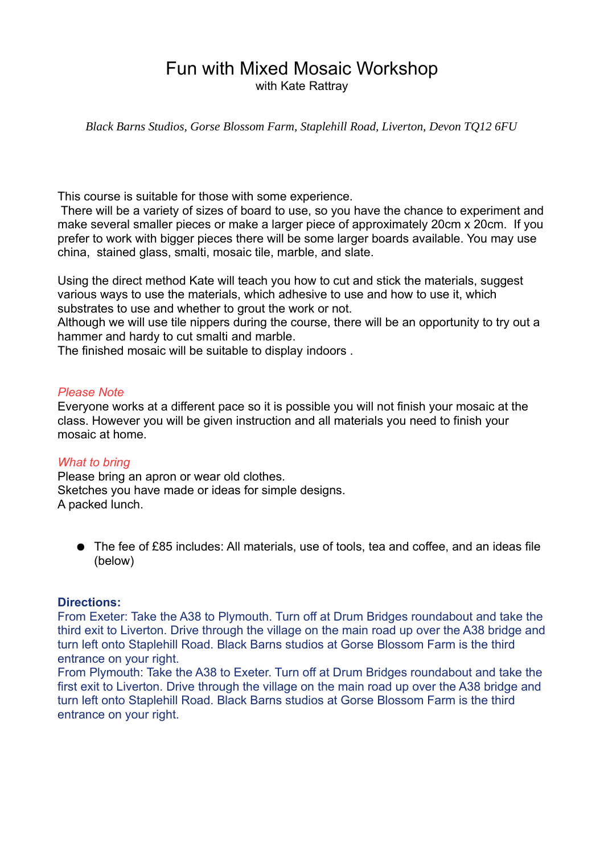## Fun with Mixed Mosaic Workshop with Kate Rattrav

*Black Barns Studios, Gorse Blossom Farm, Staplehill Road, Liverton, Devon TQ12 6FU*

This course is suitable for those with some experience.

 There will be a variety of sizes of board to use, so you have the chance to experiment and make several smaller pieces or make a larger piece of approximately 20cm x 20cm. If you prefer to work with bigger pieces there will be some larger boards available. You may use china, stained glass, smalti, mosaic tile, marble, and slate.

Using the direct method Kate will teach you how to cut and stick the materials, suggest various ways to use the materials, which adhesive to use and how to use it, which substrates to use and whether to grout the work or not.

Although we will use tile nippers during the course, there will be an opportunity to try out a hammer and hardy to cut smalti and marble.

The finished mosaic will be suitable to display indoors .

#### *Please Note*

Everyone works at a different pace so it is possible you will not finish your mosaic at the class. However you will be given instruction and all materials you need to finish your mosaic at home.

### *What to bring*

Please bring an apron or wear old clothes. Sketches you have made or ideas for simple designs. A packed lunch.

● The fee of £85 includes: All materials, use of tools, tea and coffee, and an ideas file (below)

### **Directions:**

From Exeter: Take the A38 to Plymouth. Turn off at Drum Bridges roundabout and take the third exit to Liverton. Drive through the village on the main road up over the A38 bridge and turn left onto Staplehill Road. Black Barns studios at Gorse Blossom Farm is the third entrance on your right.

From Plymouth: Take the A38 to Exeter. Turn off at Drum Bridges roundabout and take the first exit to Liverton. Drive through the village on the main road up over the A38 bridge and turn left onto Staplehill Road. Black Barns studios at Gorse Blossom Farm is the third entrance on your right.